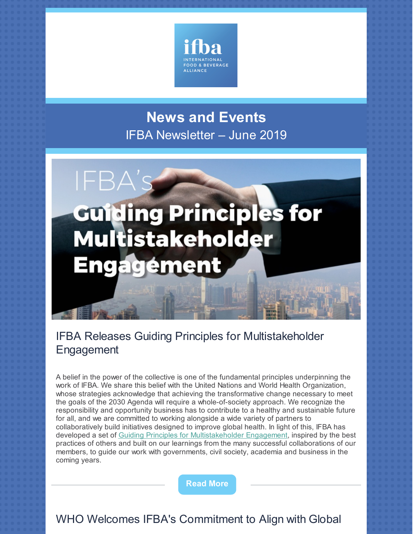

# **News and Events** IFBA Newsletter – June 2019

# **Guiding Principles for Multistakeholder Engagement**

IFB.

### IFBA Releases Guiding Principles for Multistakeholder Engagement

A belief in the power of the collective is one of the fundamental principles underpinning the work of IFBA. We share this belief with the United Nations and World Health Organization, whose strategies acknowledge that achieving the transformative change necessary to meet the goals of the 2030 Agenda will require a whole-of-society approach. We recognize the responsibility and opportunity business has to contribute to a healthy and sustainable future for all, and we are committed to working alongside a wide variety of partners to collaboratively build initiatives designed to improve global health. In light of this, IFBA has developed a set of Guiding Principles for [Multistakeholder](https://ifballiance.org/uploads/commitment/commitmentPdfActions/5d07ca5acd488_Guiding Principles for Multistakeholder Engagement - Final.pdf) Engagement, inspired by the best practices of others and built on our learnings from the many successful collaborations of our members, to guide our work with governments, civil society, academia and business in the coming years.

**[Read](https://ifballiance.org/uploads/commitment/commitmentPdfActions/5d07ca5acd488_Guiding Principles for Multistakeholder Engagement - Final.pdf) More**

WHO Welcomes IFBA's Commitment to Align with Global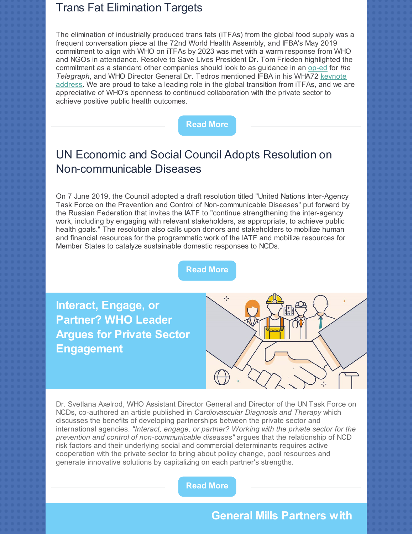#### Trans Fat Elimination Targets

The elimination of industrially produced trans fats (iTFAs) from the global food supply was a frequent conversation piece at the 72nd World Health Assembly, and IFBA's May 2019 commitment to align with WHO on iTFAs by 2023 was met with a warm response from WHO and NGOs in attendance. Resolve to Save Lives President Dr. Tom Frieden highlighted the commitment as a standard other companies should look to as guidance in an [op-ed](https://www.msn.com/en-us/health/nutrition/why-its-time-for-a-total-ban-on-trans-fat-%E2%80%93-the-tobacco-of-nutrition/ar-AABKIkc?li=BBr5KbJ) for *the Telegraph*, and WHO Director General Dr. Tedros [mentioned](https://www.who.int/dg/speeches/detail/world-health-assembly) IFBA in his WHA72 keynote address. We are proud to take a leading role in the global transition from iTFAs, and we are appreciative of WHO's openness to continued collaboration with the private sector to achieve positive public health outcomes.



## UN Economic and Social Council Adopts Resolution on Non-communicable Diseases

On 7 June 2019, the Council adopted a draft resolution titled "United Nations Inter-Agency Task Force on the Prevention and Control of Non-communicable Diseases" put forward by the Russian Federation that invites the IATF to "continue strengthening the inter-agency work, including by engaging with relevant stakeholders, as appropriate, to achieve public health goals." The resolution also calls upon donors and stakeholders to mobilize human and financial resources for the programmatic work of the IATF and mobilize resources for Member States to catalyze sustainable domestic responses to NCDs.

**[Read](https://undocs.org/E/2019/L.16) More**

**Interact, Engage, or Partner? WHO Leader Argues for Private Sector Engagement**



Dr. Svetlana Axelrod, WHO Assistant Director General and Director of the UN Task Force on NCDs, co-authored an article published in *Cardiovascular Diagnosis and Therapy* which discusses the benefits of developing partnerships between the private sector and international agencies. *"Interact, engage, or partner? Working with the private sector for the prevention and control of non-communicable diseases"* argues that the relationship of NCD risk factors and their underlying social and commercial determinants requires active cooperation with the private sector to bring about policy change, pool resources and generate innovative solutions by capitalizing on each partner's strengths.

**[Read](http://cdt.amegroups.com/article/view/20806/23570) More**

#### **General Mills Partners with**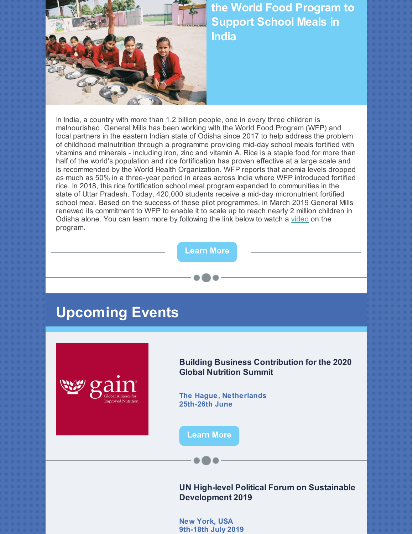

**the World Food Program to Support School Meals in India**

In India, a country with more than 1.2 billion people, one in every three children is malnourished. General Mills has been working with the World Food Program (WFP) and local partners in the eastern Indian state of Odisha since 2017 to help address the problem of childhood malnutrition through a programme providing mid-day school meals fortified with vitamins and minerals - including iron, zinc and vitamin A. Rice is a staple food for more than half of the world's population and rice fortification has proven effective at a large scale and is recommended by the World Health Organization. WFP reports that anemia levels dropped as much as 50% in a three-year period in areas across India where WFP introduced fortified rice. In 2018, this rice fortification school meal program expanded to communities in the state of Uttar Pradesh. Today, 420,000 students receive a mid-day micronutrient fortified school meal. Based on the success of these pilot programmes, in March 2019 General Mills renewed its commitment to WFP to enable it to scale up to reach nearly 2 million children in Odisha alone. You can learn more by following the link below to watch a [video](https://youtu.be/2dkmRdQJ26c) on the program.

**[Learn](https://youtu.be/2dkmRdQJ26c) More**

## **Upcoming Events**



**Building Business Contribution for the 2020 Global Nutrition Summit**

**The Hague, Netherlands 25th-26th June**

**[Learn](https://knowledge4food.net/event/building-business-contribution-for-the-2020-global-nutrition-summit/) More**

**UN High-level Political Forum on Sustainable Development 2019**

**New York, USA 9th-18th July 2019**